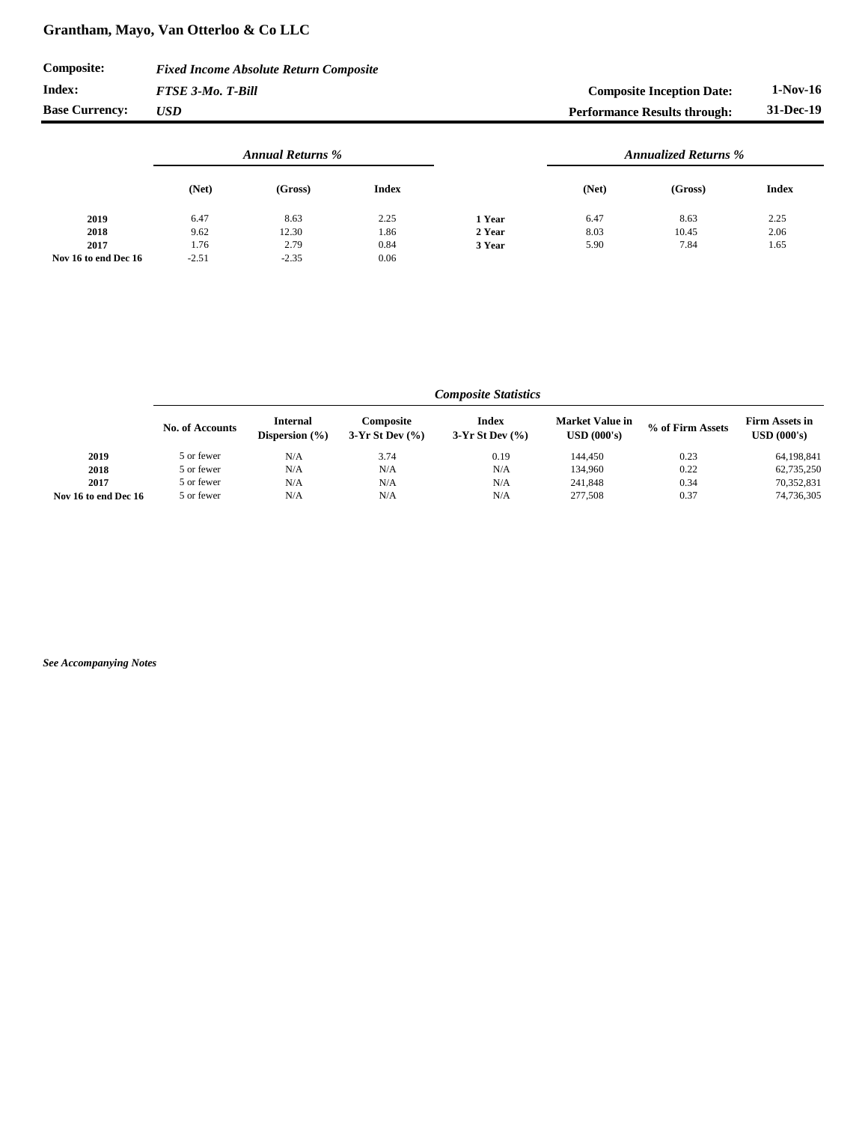## **Grantham, Mayo, Van Otterloo & Co LLC**

| <b>Composite:</b>     | <b>Fixed Income Absolute Return Composite</b> |                                     |            |
|-----------------------|-----------------------------------------------|-------------------------------------|------------|
| Index:                | <b>FTSE 3-Mo. T-Bill</b>                      | <b>Composite Inception Date:</b>    | $1-Nov-16$ |
| <b>Base Currency:</b> | <b>USD</b>                                    | <b>Performance Results through:</b> | 31-Dec-19  |

|                      | <b>Annual Returns %</b> |         |              |        | <b>Annualized Returns %</b> |         |              |
|----------------------|-------------------------|---------|--------------|--------|-----------------------------|---------|--------------|
|                      | (Net)                   | (Gross) | <b>Index</b> |        | (Net)                       | (Gross) | <b>Index</b> |
| 2019                 | 6.47                    | 8.63    | 2.25         | 1 Year | 6.47                        | 8.63    | 2.25         |
| 2018                 | 9.62                    | 12.30   | 1.86         | 2 Year | 8.03                        | 10.45   | 2.06         |
| 2017                 | 1.76                    | 2.79    | 0.84         | 3 Year | 5.90                        | 7.84    | 1.65         |
| Nov 16 to end Dec 16 | $-2.51$                 | $-2.35$ | 0.06         |        |                             |         |              |

|                      | Composite Statistics   |                                       |                                          |                                     |                                              |                  |                                                              |
|----------------------|------------------------|---------------------------------------|------------------------------------------|-------------------------------------|----------------------------------------------|------------------|--------------------------------------------------------------|
|                      | <b>No. of Accounts</b> | <b>Internal</b><br>Dispersion $(\% )$ | <b>Composite</b><br>$3-Yr$ St Dev $(%$ ) | <b>Index</b><br>3-Yr St Dev $(\% )$ | <b>Market Value in</b><br>$\bf{USD}$ (000's) | % of Firm Assets | <b>Firm Assets in</b><br>$\boldsymbol{\mathrm{USD}}$ (000's) |
| 2019                 | 5 or fewer             | N/A                                   | 3.74                                     | 0.19                                | 144,450                                      | 0.23             | 64,198,841                                                   |
| 2018                 | 5 or fewer             | N/A                                   | N/A                                      | N/A                                 | 134,960                                      | 0.22             | 62,735,250                                                   |
| 2017                 | 5 or fewer             | N/A                                   | N/A                                      | N/A                                 | 241,848                                      | 0.34             | 70,352,831                                                   |
| Nov 16 to end Dec 16 | 5 or fewer             | N/A                                   | N/A                                      | N/A                                 | 277,508                                      | 0.37             | 74,736,305                                                   |

*See Accompanying Notes*